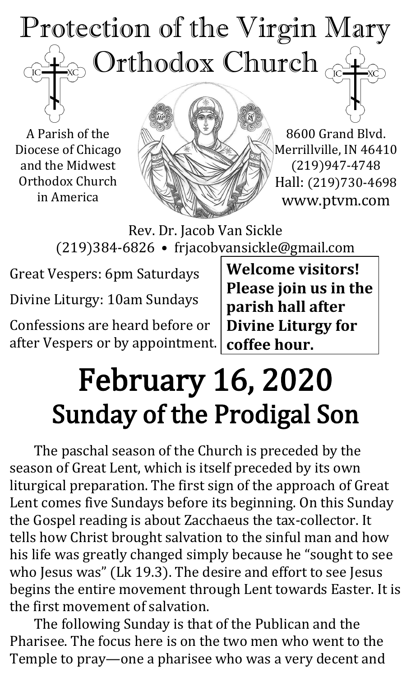## Protection of the Virgin Mary Orthodox Church TC<sub>1</sub>

A Parish of the Diocese of Chicago and the Midwest Orthodox Church in America



8600 Grand Blvd. Merrillville, IN 46410 (219)947-4748 Hall: (219)730-4698 www.ptvm.com

Rev. Dr. Jacob Van Sickle (219)384-6826 • frjacobvansickle@gmail.com

Great Vespers: 6pm Saturdays Divine Liturgy: 10am Sundays

Confessions are heard before or after Vespers or by appointment.

**Welcome visitors! Please join us in the parish hall after Divine Liturgy for coffee hour.**

## February 16, 2020 Sunday of the Prodigal Son

The paschal season of the Church is preceded by the season of Great Lent, which is itself preceded by its own liturgical preparation. The first sign of the approach of Great Lent comes five Sundays before its beginning. On this Sunday the Gospel reading is about Zacchaeus the tax-collector. It tells how Christ brought salvation to the sinful man and how his life was greatly changed simply because he "sought to see who Jesus was" (Lk 19.3). The desire and effort to see Jesus begins the entire movement through Lent towards Easter. It is the first movement of salvation.

The following Sunday is that of the Publican and the Pharisee. The focus here is on the two men who went to the Temple to pray—one a pharisee who was a very decent and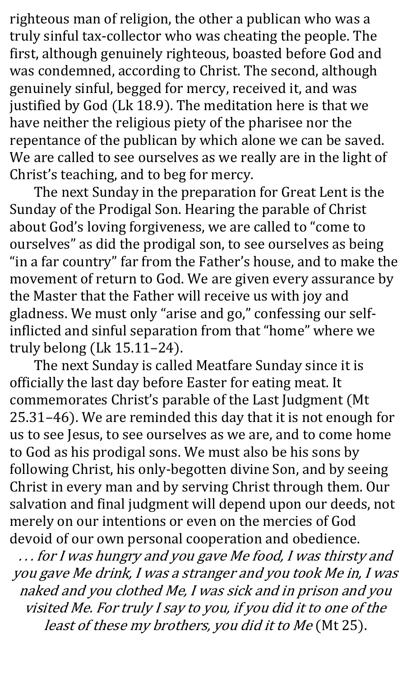righteous man of religion, the other a publican who was a truly sinful tax-collector who was cheating the people. The first, although genuinely righteous, boasted before God and was condemned, according to Christ. The second, although genuinely sinful, begged for mercy, received it, and was justified by God (Lk 18.9). The meditation here is that we have neither the religious piety of the pharisee nor the repentance of the publican by which alone we can be saved. We are called to see ourselves as we really are in the light of Christ's teaching, and to beg for mercy.

The next Sunday in the preparation for Great Lent is the Sunday of the Prodigal Son. Hearing the parable of Christ about God's loving forgiveness, we are called to "come to ourselves" as did the prodigal son, to see ourselves as being "in a far country" far from the Father's house, and to make the movement of return to God. We are given every assurance by the Master that the Father will receive us with joy and gladness. We must only "arise and go," confessing our selfinflicted and sinful separation from that "home" where we truly belong (Lk 15.11–24).

The next Sunday is called Meatfare Sunday since it is officially the last day before Easter for eating meat. It commemorates Christ's parable of the Last Judgment (Mt 25.31–46). We are reminded this day that it is not enough for us to see Jesus, to see ourselves as we are, and to come home to God as his prodigal sons. We must also be his sons by following Christ, his only-begotten divine Son, and by seeing Christ in every man and by serving Christ through them. Our salvation and final judgment will depend upon our deeds, not merely on our intentions or even on the mercies of God devoid of our own personal cooperation and obedience.

. . . for I was hungry and you gave Me food, I was thirsty and you gave Me drink, I was a stranger and you took Me in, I was naked and you clothed Me, I was sick and in prison and you visited Me. For truly I say to you, if you did it to one of the least of these my brothers, you did it to Me (Mt 25).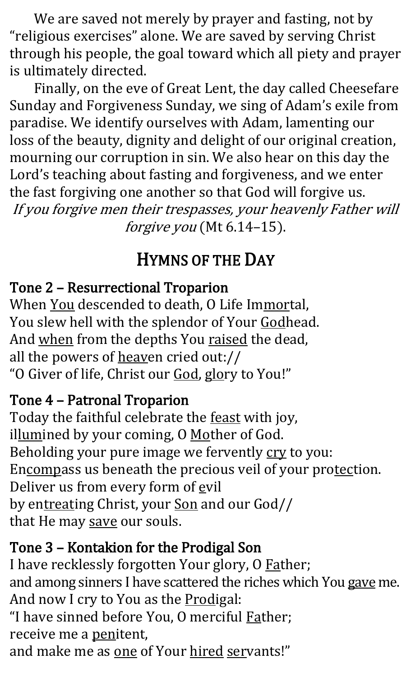We are saved not merely by prayer and fasting, not by "religious exercises" alone. We are saved by serving Christ through his people, the goal toward which all piety and prayer is ultimately directed.

Finally, on the eve of Great Lent, the day called Cheesefare Sunday and Forgiveness Sunday, we sing of Adam's exile from paradise. We identify ourselves with Adam, lamenting our loss of the beauty, dignity and delight of our original creation, mourning our corruption in sin. We also hear on this day the Lord's teaching about fasting and forgiveness, and we enter the fast forgiving one another so that God will forgive us. If you forgive men their trespasses, your heavenly Father will forgive you (Mt 6.14-15).

## HYMNS OF THE DAY

## Tone 2 – Resurrectional Troparion

When You descended to death, O Life Immortal, You slew hell with the splendor of Your Godhead. And when from the depths You raised the dead, all the powers of heaven cried out:// "O Giver of life, Christ our God, glory to You!"

## Tone 4 – Patronal Troparion

Today the faithful celebrate the feast with joy, illumined by your coming, O Mother of God. Beholding your pure image we fervently cry to you: Encompass us beneath the precious veil of your protection. Deliver us from every form of evil by entreating Christ, your Son and our God// that He may save our souls.

## Tone 3 – Kontakion for the Prodigal Son

I have recklessly forgotten Your glory, O Father; and among sinners I have scattered the riches which You gave me. And now I cry to You as the Prodigal: "I have sinned before You, O merciful **Father**; receive me a penitent,

and make me as one of Your hired servants!"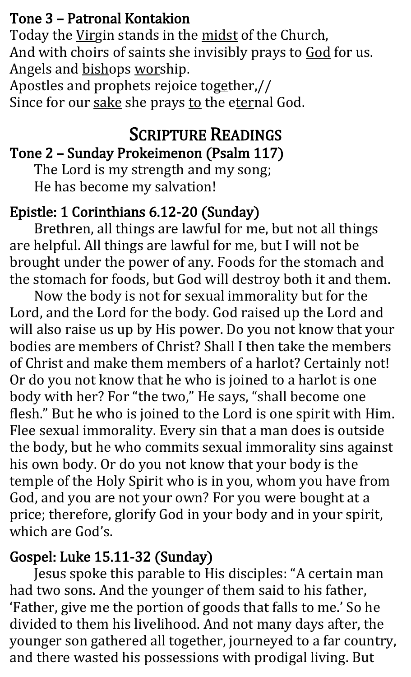#### Tone 3 – Patronal Kontakion

Today the Virgin stands in the midst of the Church, And with choirs of saints she invisibly prays to God for us. Angels and bishops worship.

Apostles and prophets rejoice together,// Since for our sake she prays to the eternal God.

#### SCRIPTURE READINGS Tone 2 – Sunday Prokeimenon (Psalm 117)

## The Lord is my strength and my song;

He has become my salvation!

## Epistle: 1 Corinthians 6.12-20 (Sunday)

Brethren, all things are lawful for me, but not all things are helpful. All things are lawful for me, but I will not be brought under the power of any. Foods for the stomach and the stomach for foods, but God will destroy both it and them.

Now the body is not for sexual immorality but for the Lord, and the Lord for the body. God raised up the Lord and will also raise us up by His power. Do you not know that your bodies are members of Christ? Shall I then take the members of Christ and make them members of a harlot? Certainly not! Or do you not know that he who is joined to a harlot is one body with her? For "the two," He says, "shall become one flesh." But he who is joined to the Lord is one spirit with Him. Flee sexual immorality. Every sin that a man does is outside the body, but he who commits sexual immorality sins against his own body. Or do you not know that your body is the temple of the Holy Spirit who is in you, whom you have from God, and you are not your own? For you were bought at a price; therefore, glorify God in your body and in your spirit, which are God's.

## Gospel: Luke 15.11-32 (Sunday)

Jesus spoke this parable to His disciples: "A certain man had two sons. And the younger of them said to his father, 'Father, give me the portion of goods that falls to me.' So he divided to them his livelihood. And not many days after, the younger son gathered all together, journeyed to a far country, and there wasted his possessions with prodigal living. But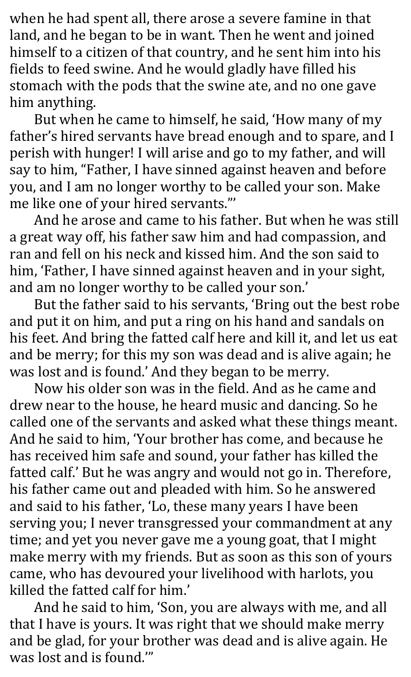when he had spent all, there arose a severe famine in that land, and he began to be in want. Then he went and joined himself to a citizen of that country, and he sent him into his fields to feed swine. And he would gladly have filled his stomach with the pods that the swine ate, and no one gave him anything.

But when he came to himself, he said, 'How many of my father's hired servants have bread enough and to spare, and I perish with hunger! I will arise and go to my father, and will say to him, "Father, I have sinned against heaven and before you, and I am no longer worthy to be called your son. Make me like one of your hired servants."'

And he arose and came to his father. But when he was still a great way off, his father saw him and had compassion, and ran and fell on his neck and kissed him. And the son said to him, 'Father, I have sinned against heaven and in your sight, and am no longer worthy to be called your son.'

But the father said to his servants, 'Bring out the best robe and put it on him, and put a ring on his hand and sandals on his feet. And bring the fatted calf here and kill it, and let us eat and be merry; for this my son was dead and is alive again; he was lost and is found.' And they began to be merry.

Now his older son was in the field. And as he came and drew near to the house, he heard music and dancing. So he called one of the servants and asked what these things meant. And he said to him, 'Your brother has come, and because he has received him safe and sound, your father has killed the fatted calf.' But he was angry and would not go in. Therefore, his father came out and pleaded with him. So he answered and said to his father, 'Lo, these many years I have been serving you; I never transgressed your commandment at any time; and yet you never gave me a young goat, that I might make merry with my friends. But as soon as this son of yours came, who has devoured your livelihood with harlots, you killed the fatted calf for him.'

And he said to him, 'Son, you are always with me, and all that I have is yours. It was right that we should make merry and be glad, for your brother was dead and is alive again. He was lost and is found.'"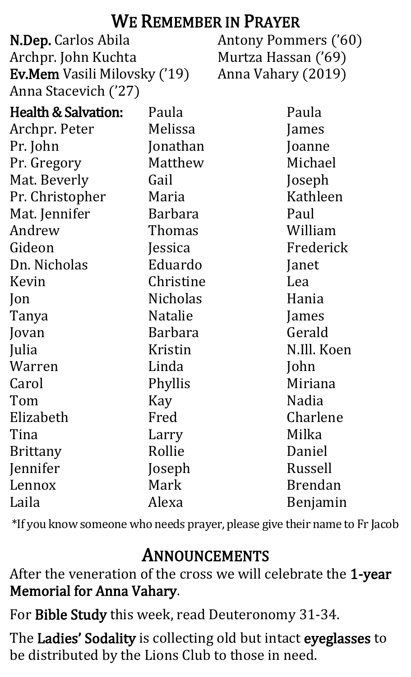## WE REMEMBER IN PRAYER

N.Dep. Carlos Abila Archpr. John Kuchta Ev.Mem Vasili Milovsky ('19) Anna Stacevich ('27)

Antony Pommers ('60) Murtza Hassan ('69) Anna Vahary (2019)

| <b>Health &amp; Salvation:</b> | Paula           | Paula          |
|--------------------------------|-----------------|----------------|
| Archpr. Peter                  | Melissa         | James          |
| Pr. John                       | Jonathan        | Joanne         |
| Pr. Gregory                    | Matthew         | Michael        |
| Mat. Beverly                   | Gail            | Joseph         |
| Pr. Christopher                | Maria           | Kathleen       |
| Mat. Jennifer                  | <b>Barbara</b>  | Paul           |
| Andrew                         | Thomas          | William        |
| Gideon                         | Jessica         | Frederick      |
| Dn. Nicholas                   | Eduardo         | Janet          |
| Kevin                          | Christine       | Lea            |
| $\mathsf{lon}$                 | <b>Nicholas</b> | Hania          |
| Tanya                          | <b>Natalie</b>  | James          |
| Jovan                          | <b>Barbara</b>  | Gerald         |
| Julia                          | Kristin         | N.Ill. Koen    |
| Warren                         | Linda           | John           |
| Carol                          | Phyllis         | Miriana        |
| Tom                            | Kay             | Nadia          |
| Elizabeth                      | Fred            | Charlene       |
| Tina                           | Larry           | Milka          |
| <b>Brittany</b>                | Rollie          | Daniel         |
| Jennifer                       | Joseph          | Russell        |
| Lennox                         | Mark            | <b>Brendan</b> |
| Laila                          | Alexa           | Benjamin       |

\*If you know someone who needs prayer, please give their name to Fr Jacob

## ANNOUNCEMENTS

After the veneration of the cross we will celebrate the 1-year Memorial for Anna Vahary.

For Bible Study this week, read Deuteronomy 31-34.

The Ladies' Sodality is collecting old but intact eyeglasses to be distributed by the Lions Club to those in need.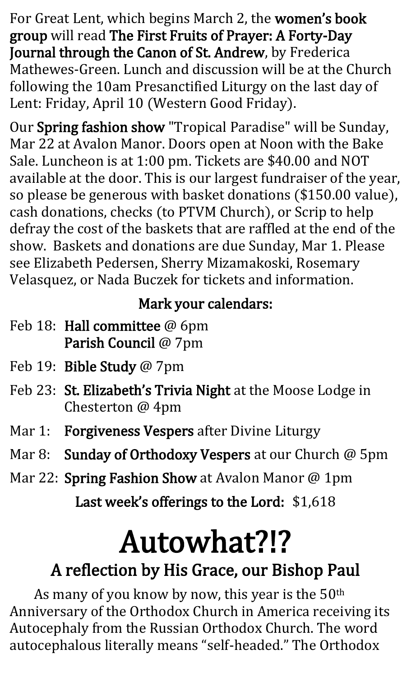For Great Lent, which begins March 2, the women's book group will read The First Fruits of Prayer: A Forty-Day Journal through the Canon of St. Andrew, by Frederica Mathewes-Green. Lunch and discussion will be at the Church following the 10am Presanctified Liturgy on the last day of Lent: Friday, April 10 (Western Good Friday).

Our Spring fashion show "Tropical Paradise" will be Sunday, Mar 22 at Avalon Manor. Doors open at Noon with the Bake Sale. Luncheon is at 1:00 pm. Tickets are \$40.00 and NOT available at the door. This is our largest fundraiser of the year, so please be generous with basket donations (\$150.00 value), cash donations, checks (to PTVM Church), or Scrip to help defray the cost of the baskets that are raffled at the end of the show. Baskets and donations are due Sunday, Mar 1. Please see Elizabeth Pedersen, Sherry Mizamakoski, Rosemary Velasquez, or Nada Buczek for tickets and information.

#### Mark your calendars:

- Feb 18: Hall committee @ 6pm Parish Council @ 7pm
- Feb 19: Bible Study @ 7pm
- Feb 23: St. Elizabeth's Trivia Night at the Moose Lodge in Chesterton @ 4pm
- Mar 1: Forgiveness Vespers after Divine Liturgy
- Mar 8: Sunday of Orthodoxy Vespers at our Church @ 5pm
- Mar 22: Spring Fashion Show at Avalon Manor @ 1pm Last week's offerings to the Lord: \$1,618

# Autowhat?!?

## A reflection by His Grace, our Bishop Paul

As many of you know by now, this year is the  $50<sup>th</sup>$ Anniversary of the Orthodox Church in America receiving its Autocephaly from the Russian Orthodox Church. The word autocephalous literally means "self-headed." The Orthodox